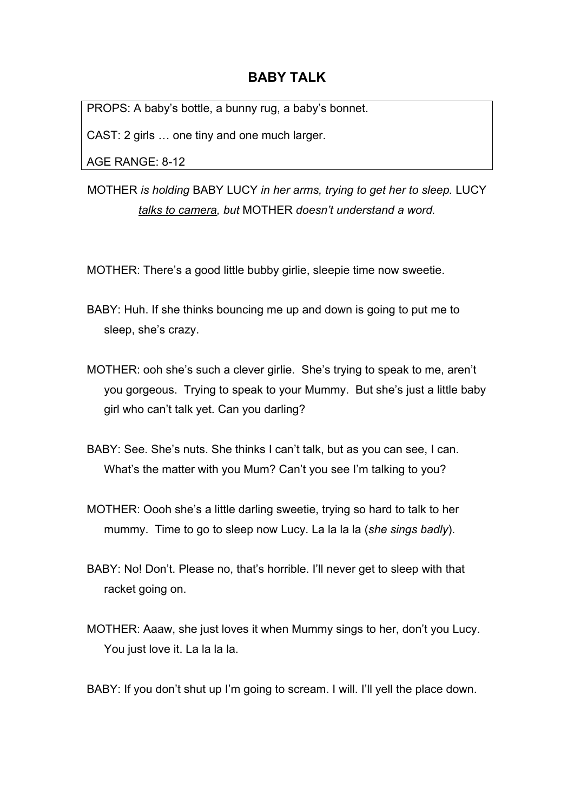## **BABY TALK**

PROPS: A baby's bottle, a bunny rug, a baby's bonnet.

CAST: 2 girls … one tiny and one much larger.

AGE RANGE: 8-12

MOTHER *is holding* BABY LUCY *in her arms, trying to get her to sleep.* LUCY *talks to camera, but* MOTHER *doesn't understand a word.*

MOTHER: There's a good little bubby girlie, sleepie time now sweetie.

BABY: Huh. If she thinks bouncing me up and down is going to put me to sleep, she's crazy.

- MOTHER: ooh she's such a clever girlie. She's trying to speak to me, aren't you gorgeous. Trying to speak to your Mummy. But she's just a little baby girl who can't talk yet. Can you darling?
- BABY: See. She's nuts. She thinks I can't talk, but as you can see, I can. What's the matter with you Mum? Can't you see I'm talking to you?
- MOTHER: Oooh she's a little darling sweetie, trying so hard to talk to her mummy. Time to go to sleep now Lucy. La la la la (*she sings badly*).
- BABY: No! Don't. Please no, that's horrible. I'll never get to sleep with that racket going on.
- MOTHER: Aaaw, she just loves it when Mummy sings to her, don't you Lucy. You just love it. La la la la.
- BABY: If you don't shut up I'm going to scream. I will. I'll yell the place down.